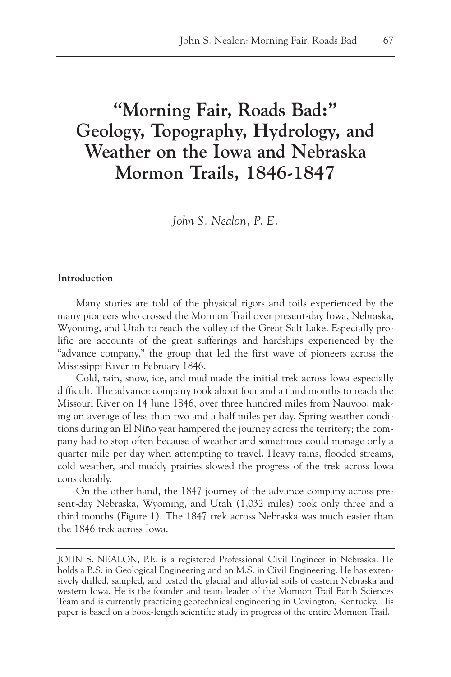# **"Morning Fair, Roads Bad:" Geology, Topography, Hydrology, and Weather on the Iowa and Nebraska Mormon Trails, 1846-1847**

*John S. Nealon, P. E.*

# **Introduction**

Many stories are told of the physical rigors and toils experienced by the many pioneers who crossed the Mormon Trail over present-day Iowa, Nebraska, Wyoming, and Utah to reach the valley of the Great Salt Lake. Especially prolific are accounts of the great sufferings and hardships experienced by the "advance company," the group that led the first wave of pioneers across the Mississippi River in February 1846.

Cold, rain, snow, ice, and mud made the initial trek across Iowa especially difficult. The advance company took about four and a third months to reach the Missouri River on 14 June 1846, over three hundred miles from Nauvoo, making an average of less than two and a half miles per day. Spring weather conditions during an El Niño year hampered the journey across the territory; the company had to stop often because of weather and sometimes could manage only a quarter mile per day when attempting to travel. Heavy rains, flooded streams, cold weather, and muddy prairies slowed the progress of the trek across Iowa considerably.

On the other hand, the 1847 journey of the advance company across present-day Nebraska, Wyoming, and Utah (1,032 miles) took only three and a third months (Figure 1). The 1847 trek across Nebraska was much easier than the 1846 trek across Iowa.

JOHN S. NEALON, P.E. is a registered Professional Civil Engineer in Nebraska. He holds a B.S. in Geological Engineering and an M.S. in Civil Engineering. He has extensively drilled, sampled, and tested the glacial and alluvial soils of eastern Nebraska and western Iowa. He is the founder and team leader of the Mormon Trail Earth Sciences Team and is currently practicing geotechnical engineering in Covington, Kentucky. His paper is based on a book-length scientific study in progress of the entire Mormon Trail.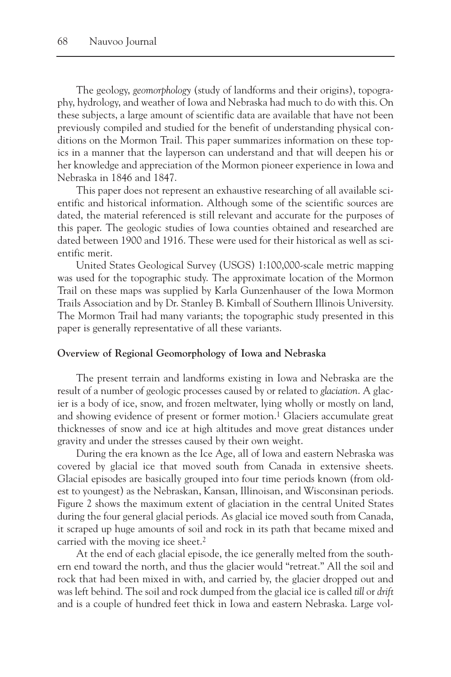The geology, *geomorphology* (study of landforms and their origins), topography, hydrology, and weather of Iowa and Nebraska had much to do with this. On these subjects, a large amount of scientific data are available that have not been previously compiled and studied for the benefit of understanding physical conditions on the Mormon Trail. This paper summarizes information on these topics in a manner that the layperson can understand and that will deepen his or her knowledge and appreciation of the Mormon pioneer experience in Iowa and Nebraska in 1846 and 1847.

This paper does not represent an exhaustive researching of all available scientific and historical information. Although some of the scientific sources are dated, the material referenced is still relevant and accurate for the purposes of this paper. The geologic studies of Iowa counties obtained and researched are dated between 1900 and 1916. These were used for their historical as well as scientific merit.

United States Geological Survey (USGS) 1:100,000-scale metric mapping was used for the topographic study. The approximate location of the Mormon Trail on these maps was supplied by Karla Gunzenhauser of the Iowa Mormon Trails Association and by Dr. Stanley B. Kimball of Southern Illinois University. The Mormon Trail had many variants; the topographic study presented in this paper is generally representative of all these variants.

#### **Overview of Regional Geomorphology of Iowa and Nebraska**

The present terrain and landforms existing in Iowa and Nebraska are the result of a number of geologic processes caused by or related to *glaciation*. A glacier is a body of ice, snow, and frozen meltwater, lying wholly or mostly on land, and showing evidence of present or former motion.<sup>1</sup> Glaciers accumulate great thicknesses of snow and ice at high altitudes and move great distances under gravity and under the stresses caused by their own weight.

During the era known as the Ice Age, all of Iowa and eastern Nebraska was covered by glacial ice that moved south from Canada in extensive sheets. Glacial episodes are basically grouped into four time periods known (from oldest to youngest) as the Nebraskan, Kansan, Illinoisan, and Wisconsinan periods. Figure 2 shows the maximum extent of glaciation in the central United States during the four general glacial periods. As glacial ice moved south from Canada, it scraped up huge amounts of soil and rock in its path that became mixed and carried with the moving ice sheet.<sup>2</sup>

At the end of each glacial episode, the ice generally melted from the southern end toward the north, and thus the glacier would "retreat." All the soil and rock that had been mixed in with, and carried by, the glacier dropped out and was left behind. The soil and rock dumped from the glacial ice is called *till* or *drift* and is a couple of hundred feet thick in Iowa and eastern Nebraska. Large vol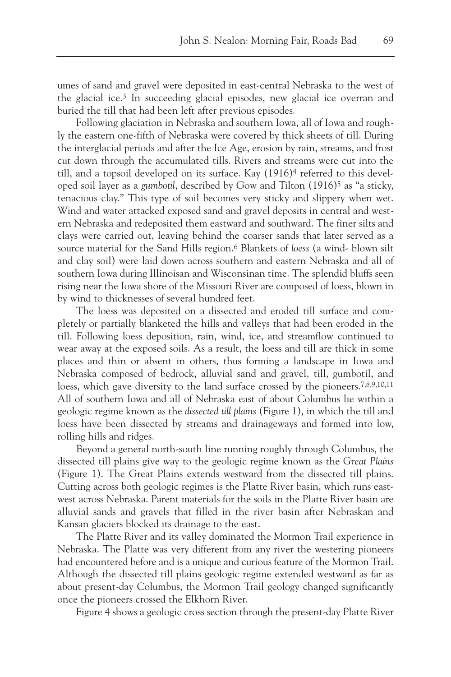umes of sand and gravel were deposited in east-central Nebraska to the west of the glacial ice.3 In succeeding glacial episodes, new glacial ice overran and buried the till that had been left after previous episodes.

Following glaciation in Nebraska and southern Iowa, all of Iowa and roughly the eastern one-fifth of Nebraska were covered by thick sheets of till. During the interglacial periods and after the Ice Age, erosion by rain, streams, and frost cut down through the accumulated tills. Rivers and streams were cut into the till, and a topsoil developed on its surface. Kay (1916)4 referred to this developed soil layer as a *gumbotil*, described by Gow and Tilton (1916)5 as "a sticky, tenacious clay." This type of soil becomes very sticky and slippery when wet. Wind and water attacked exposed sand and gravel deposits in central and western Nebraska and redeposited them eastward and southward. The finer silts and clays were carried out, leaving behind the coarser sands that later served as a source material for the Sand Hills region.6 Blankets of *loess* (a wind- blown silt and clay soil) were laid down across southern and eastern Nebraska and all of southern Iowa during Illinoisan and Wisconsinan time. The splendid bluffs seen rising near the Iowa shore of the Missouri River are composed of loess, blown in by wind to thicknesses of several hundred feet.

The loess was deposited on a dissected and eroded till surface and completely or partially blanketed the hills and valleys that had been eroded in the till. Following loess deposition, rain, wind, ice, and streamflow continued to wear away at the exposed soils. As a result, the loess and till are thick in some places and thin or absent in others, thus forming a landscape in Iowa and Nebraska composed of bedrock, alluvial sand and gravel, till, gumbotil, and loess, which gave diversity to the land surface crossed by the pioneers.<sup>7,8,9,10,11</sup> All of southern Iowa and all of Nebraska east of about Columbus lie within a geologic regime known as the *dissected till plains* (Figure 1), in which the till and loess have been dissected by streams and drainageways and formed into low, rolling hills and ridges.

Beyond a general north-south line running roughly through Columbus, the dissected till plains give way to the geologic regime known as the *Great Plains* (Figure 1). The Great Plains extends westward from the dissected till plains. Cutting across both geologic regimes is the Platte River basin, which runs eastwest across Nebraska. Parent materials for the soils in the Platte River basin are alluvial sands and gravels that filled in the river basin after Nebraskan and Kansan glaciers blocked its drainage to the east.

The Platte River and its valley dominated the Mormon Trail experience in Nebraska. The Platte was very different from any river the westering pioneers had encountered before and is a unique and curious feature of the Mormon Trail. Although the dissected till plains geologic regime extended westward as far as about present-day Columbus, the Mormon Trail geology changed significantly once the pioneers crossed the Elkhorn River.

Figure 4 shows a geologic cross section through the present-day Platte River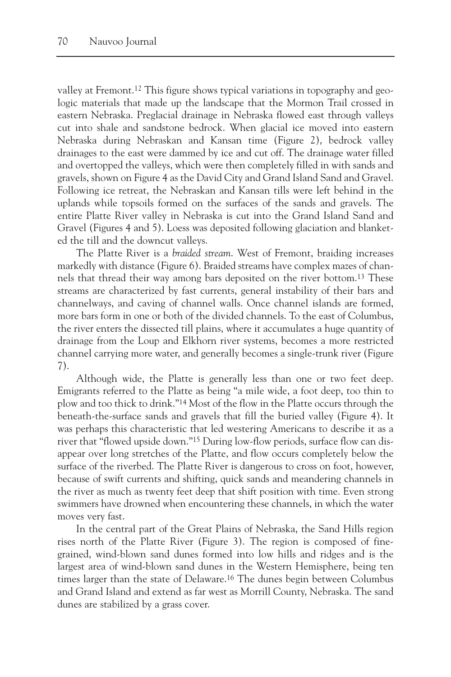valley at Fremont.12 This figure shows typical variations in topography and geologic materials that made up the landscape that the Mormon Trail crossed in eastern Nebraska. Preglacial drainage in Nebraska flowed east through valleys cut into shale and sandstone bedrock. When glacial ice moved into eastern Nebraska during Nebraskan and Kansan time (Figure 2), bedrock valley drainages to the east were dammed by ice and cut off. The drainage water filled and overtopped the valleys, which were then completely filled in with sands and gravels, shown on Figure 4 as the David City and Grand Island Sand and Gravel. Following ice retreat, the Nebraskan and Kansan tills were left behind in the uplands while topsoils formed on the surfaces of the sands and gravels. The entire Platte River valley in Nebraska is cut into the Grand Island Sand and Gravel (Figures 4 and 5). Loess was deposited following glaciation and blanketed the till and the downcut valleys.

The Platte River is a *braided stream*. West of Fremont, braiding increases markedly with distance (Figure 6). Braided streams have complex mazes of channels that thread their way among bars deposited on the river bottom.13 These streams are characterized by fast currents, general instability of their bars and channelways, and caving of channel walls. Once channel islands are formed, more bars form in one or both of the divided channels. To the east of Columbus, the river enters the dissected till plains, where it accumulates a huge quantity of drainage from the Loup and Elkhorn river systems, becomes a more restricted channel carrying more water, and generally becomes a single-trunk river (Figure 7).

Although wide, the Platte is generally less than one or two feet deep. Emigrants referred to the Platte as being "a mile wide, a foot deep, too thin to plow and too thick to drink."14 Most of the flow in the Platte occurs through the beneath-the-surface sands and gravels that fill the buried valley (Figure 4). It was perhaps this characteristic that led westering Americans to describe it as a river that "flowed upside down."15 During low-flow periods, surface flow can disappear over long stretches of the Platte, and flow occurs completely below the surface of the riverbed. The Platte River is dangerous to cross on foot, however, because of swift currents and shifting, quick sands and meandering channels in the river as much as twenty feet deep that shift position with time. Even strong swimmers have drowned when encountering these channels, in which the water moves very fast.

In the central part of the Great Plains of Nebraska, the Sand Hills region rises north of the Platte River (Figure 3). The region is composed of finegrained, wind-blown sand dunes formed into low hills and ridges and is the largest area of wind-blown sand dunes in the Western Hemisphere, being ten times larger than the state of Delaware.16 The dunes begin between Columbus and Grand Island and extend as far west as Morrill County, Nebraska. The sand dunes are stabilized by a grass cover.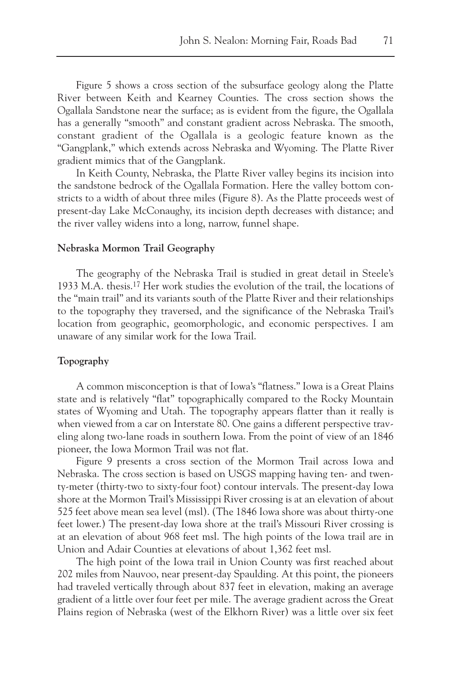Figure 5 shows a cross section of the subsurface geology along the Platte River between Keith and Kearney Counties. The cross section shows the Ogallala Sandstone near the surface; as is evident from the figure, the Ogallala has a generally "smooth" and constant gradient across Nebraska. The smooth, constant gradient of the Ogallala is a geologic feature known as the "Gangplank," which extends across Nebraska and Wyoming. The Platte River gradient mimics that of the Gangplank.

In Keith County, Nebraska, the Platte River valley begins its incision into the sandstone bedrock of the Ogallala Formation. Here the valley bottom constricts to a width of about three miles (Figure 8). As the Platte proceeds west of present-day Lake McConaughy, its incision depth decreases with distance; and the river valley widens into a long, narrow, funnel shape.

# **Nebraska Mormon Trail Geography**

The geography of the Nebraska Trail is studied in great detail in Steele's 1933 M.A. thesis.17 Her work studies the evolution of the trail, the locations of the "main trail" and its variants south of the Platte River and their relationships to the topography they traversed, and the significance of the Nebraska Trail's location from geographic, geomorphologic, and economic perspectives. I am unaware of any similar work for the Iowa Trail.

#### **Topography**

A common misconception is that of Iowa's "flatness." Iowa is a Great Plains state and is relatively "flat" topographically compared to the Rocky Mountain states of Wyoming and Utah. The topography appears flatter than it really is when viewed from a car on Interstate 80. One gains a different perspective traveling along two-lane roads in southern Iowa. From the point of view of an 1846 pioneer, the Iowa Mormon Trail was not flat.

Figure 9 presents a cross section of the Mormon Trail across Iowa and Nebraska. The cross section is based on USGS mapping having ten- and twenty-meter (thirty-two to sixty-four foot) contour intervals. The present-day Iowa shore at the Mormon Trail's Mississippi River crossing is at an elevation of about 525 feet above mean sea level (msl). (The 1846 Iowa shore was about thirty-one feet lower.) The present-day Iowa shore at the trail's Missouri River crossing is at an elevation of about 968 feet msl. The high points of the Iowa trail are in Union and Adair Counties at elevations of about 1,362 feet msl.

The high point of the Iowa trail in Union County was first reached about 202 miles from Nauvoo, near present-day Spaulding. At this point, the pioneers had traveled vertically through about 837 feet in elevation, making an average gradient of a little over four feet per mile. The average gradient across the Great Plains region of Nebraska (west of the Elkhorn River) was a little over six feet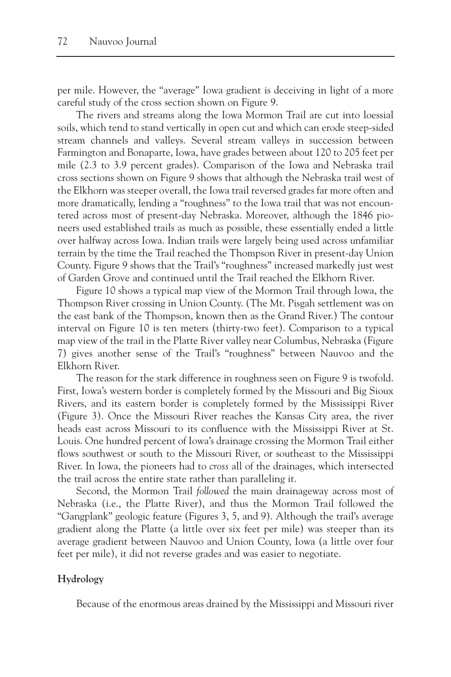per mile. However, the "average" Iowa gradient is deceiving in light of a more careful study of the cross section shown on Figure 9.

The rivers and streams along the Iowa Mormon Trail are cut into loessial soils, which tend to stand vertically in open cut and which can erode steep-sided stream channels and valleys. Several stream valleys in succession between Farmington and Bonaparte, Iowa, have grades between about 120 to 205 feet per mile (2.3 to 3.9 percent grades). Comparison of the Iowa and Nebraska trail cross sections shown on Figure 9 shows that although the Nebraska trail west of the Elkhorn was steeper overall, the Iowa trail reversed grades far more often and more dramatically, lending a "roughness" to the Iowa trail that was not encountered across most of present-day Nebraska. Moreover, although the 1846 pioneers used established trails as much as possible, these essentially ended a little over halfway across Iowa. Indian trails were largely being used across unfamiliar terrain by the time the Trail reached the Thompson River in present-day Union County. Figure 9 shows that the Trail's "roughness" increased markedly just west of Garden Grove and continued until the Trail reached the Elkhorn River.

Figure 10 shows a typical map view of the Mormon Trail through Iowa, the Thompson River crossing in Union County. (The Mt. Pisgah settlement was on the east bank of the Thompson, known then as the Grand River.) The contour interval on Figure 10 is ten meters (thirty-two feet). Comparison to a typical map view of the trail in the Platte River valley near Columbus, Nebraska (Figure 7) gives another sense of the Trail's "roughness" between Nauvoo and the Elkhorn River.

The reason for the stark difference in roughness seen on Figure 9 is twofold. First, Iowa's western border is completely formed by the Missouri and Big Sioux Rivers, and its eastern border is completely formed by the Mississippi River (Figure 3). Once the Missouri River reaches the Kansas City area, the river heads east across Missouri to its confluence with the Mississippi River at St. Louis. One hundred percent of Iowa's drainage crossing the Mormon Trail either flows southwest or south to the Missouri River, or southeast to the Mississippi River. In Iowa, the pioneers had to *cross* all of the drainages, which intersected the trail across the entire state rather than paralleling it.

Second, the Mormon Trail *followed* the main drainageway across most of Nebraska (i.e., the Platte River), and thus the Mormon Trail followed the "Gangplank" geologic feature (Figures 3, 5, and 9). Although the trail's average gradient along the Platte (a little over six feet per mile) was steeper than its average gradient between Nauvoo and Union County, Iowa (a little over four feet per mile), it did not reverse grades and was easier to negotiate.

# **Hydrology**

Because of the enormous areas drained by the Mississippi and Missouri river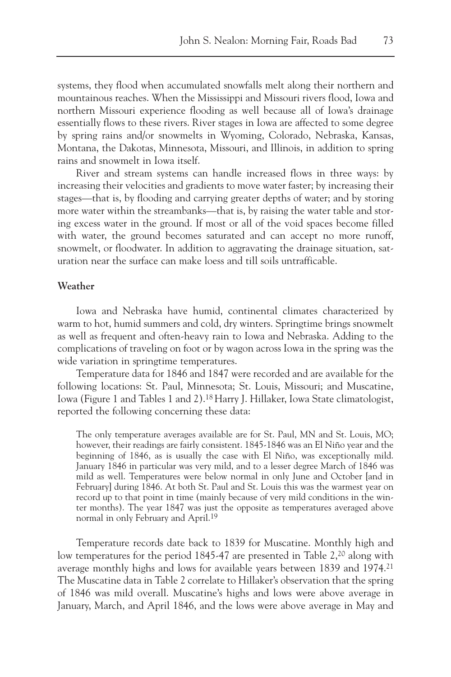systems, they flood when accumulated snowfalls melt along their northern and mountainous reaches. When the Mississippi and Missouri rivers flood, Iowa and northern Missouri experience flooding as well because all of Iowa's drainage essentially flows to these rivers. River stages in Iowa are affected to some degree by spring rains and/or snowmelts in Wyoming, Colorado, Nebraska, Kansas, Montana, the Dakotas, Minnesota, Missouri, and Illinois, in addition to spring rains and snowmelt in Iowa itself.

River and stream systems can handle increased flows in three ways: by increasing their velocities and gradients to move water faster; by increasing their stages—that is, by flooding and carrying greater depths of water; and by storing more water within the streambanks—that is, by raising the water table and storing excess water in the ground. If most or all of the void spaces become filled with water, the ground becomes saturated and can accept no more runoff, snowmelt, or floodwater. In addition to aggravating the drainage situation, saturation near the surface can make loess and till soils untrafficable.

# **Weather**

Iowa and Nebraska have humid, continental climates characterized by warm to hot, humid summers and cold, dry winters. Springtime brings snowmelt as well as frequent and often-heavy rain to Iowa and Nebraska. Adding to the complications of traveling on foot or by wagon across Iowa in the spring was the wide variation in springtime temperatures.

Temperature data for 1846 and 1847 were recorded and are available for the following locations: St. Paul, Minnesota; St. Louis, Missouri; and Muscatine, Iowa (Figure 1 and Tables 1 and 2).18 Harry J. Hillaker, Iowa State climatologist, reported the following concerning these data:

The only temperature averages available are for St. Paul, MN and St. Louis, MO; however, their readings are fairly consistent. 1845-1846 was an El Niño year and the beginning of 1846, as is usually the case with El Niño, was exceptionally mild. January 1846 in particular was very mild, and to a lesser degree March of 1846 was mild as well. Temperatures were below normal in only June and October [and in February] during 1846. At both St. Paul and St. Louis this was the warmest year on record up to that point in time (mainly because of very mild conditions in the winter months). The year 1847 was just the opposite as temperatures averaged above normal in only February and April.19

Temperature records date back to 1839 for Muscatine. Monthly high and low temperatures for the period 1845-47 are presented in Table 2,20 along with average monthly highs and lows for available years between 1839 and 1974.21 The Muscatine data in Table 2 correlate to Hillaker's observation that the spring of 1846 was mild overall. Muscatine's highs and lows were above average in January, March, and April 1846, and the lows were above average in May and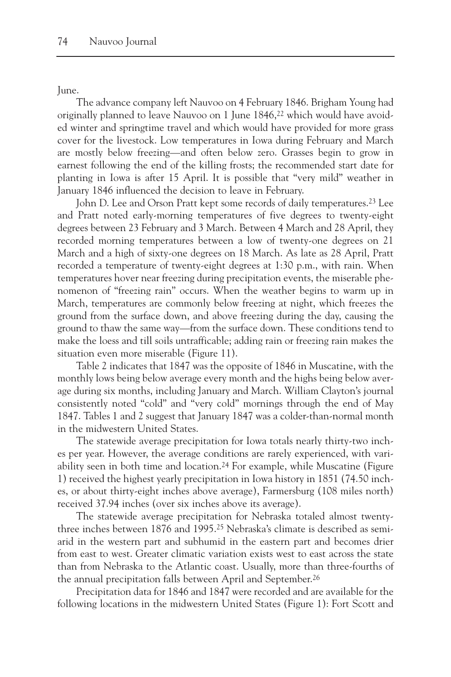June.

The advance company left Nauvoo on 4 February 1846. Brigham Young had originally planned to leave Nauvoo on 1 June 1846,22 which would have avoided winter and springtime travel and which would have provided for more grass cover for the livestock. Low temperatures in Iowa during February and March are mostly below freezing—and often below zero. Grasses begin to grow in earnest following the end of the killing frosts; the recommended start date for planting in Iowa is after 15 April. It is possible that "very mild" weather in January 1846 influenced the decision to leave in February.

John D. Lee and Orson Pratt kept some records of daily temperatures.23 Lee and Pratt noted early-morning temperatures of five degrees to twenty-eight degrees between 23 February and 3 March. Between 4 March and 28 April, they recorded morning temperatures between a low of twenty-one degrees on 21 March and a high of sixty-one degrees on 18 March. As late as 28 April, Pratt recorded a temperature of twenty-eight degrees at 1:30 p.m., with rain. When temperatures hover near freezing during precipitation events, the miserable phenomenon of "freezing rain" occurs. When the weather begins to warm up in March, temperatures are commonly below freezing at night, which freezes the ground from the surface down, and above freezing during the day, causing the ground to thaw the same way—from the surface down. These conditions tend to make the loess and till soils untrafficable; adding rain or freezing rain makes the situation even more miserable (Figure 11).

Table 2 indicates that 1847 was the opposite of 1846 in Muscatine, with the monthly lows being below average every month and the highs being below average during six months, including January and March. William Clayton's journal consistently noted "cold" and "very cold" mornings through the end of May 1847. Tables 1 and 2 suggest that January 1847 was a colder-than-normal month in the midwestern United States.

The statewide average precipitation for Iowa totals nearly thirty-two inches per year. However, the average conditions are rarely experienced, with variability seen in both time and location.24 For example, while Muscatine (Figure 1) received the highest yearly precipitation in Iowa history in 1851 (74.50 inches, or about thirty-eight inches above average), Farmersburg (108 miles north) received 37.94 inches (over six inches above its average).

The statewide average precipitation for Nebraska totaled almost twentythree inches between 1876 and 1995.25 Nebraska's climate is described as semiarid in the western part and subhumid in the eastern part and becomes drier from east to west. Greater climatic variation exists west to east across the state than from Nebraska to the Atlantic coast. Usually, more than three-fourths of the annual precipitation falls between April and September.<sup>26</sup>

Precipitation data for 1846 and 1847 were recorded and are available for the following locations in the midwestern United States (Figure 1): Fort Scott and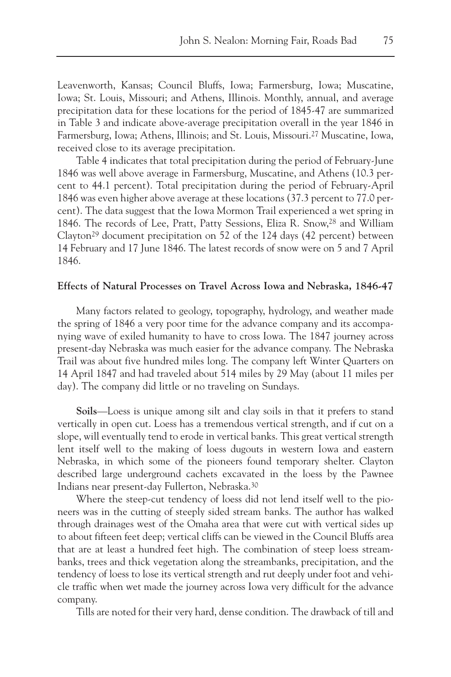Leavenworth, Kansas; Council Bluffs, Iowa; Farmersburg, Iowa; Muscatine, Iowa; St. Louis, Missouri; and Athens, Illinois. Monthly, annual, and average precipitation data for these locations for the period of 1845-47 are summarized in Table 3 and indicate above-average precipitation overall in the year 1846 in Farmersburg, Iowa; Athens, Illinois; and St. Louis, Missouri.27 Muscatine, Iowa, received close to its average precipitation.

Table 4 indicates that total precipitation during the period of February-June 1846 was well above average in Farmersburg, Muscatine, and Athens (10.3 percent to 44.1 percent). Total precipitation during the period of February-April 1846 was even higher above average at these locations (37.3 percent to 77.0 percent). The data suggest that the Iowa Mormon Trail experienced a wet spring in 1846. The records of Lee, Pratt, Patty Sessions, Eliza R. Snow,28 and William Clayton<sup>29</sup> document precipitation on 52 of the 124 days (42 percent) between 14 February and 17 June 1846. The latest records of snow were on 5 and 7 April 1846.

# **Effects of Natural Processes on Travel Across Iowa and Nebraska, 1846-47**

Many factors related to geology, topography, hydrology, and weather made the spring of 1846 a very poor time for the advance company and its accompanying wave of exiled humanity to have to cross Iowa. The 1847 journey across present-day Nebraska was much easier for the advance company. The Nebraska Trail was about five hundred miles long. The company left Winter Quarters on 14 April 1847 and had traveled about 514 miles by 29 May (about 11 miles per day). The company did little or no traveling on Sundays.

**Soils**—Loess is unique among silt and clay soils in that it prefers to stand vertically in open cut. Loess has a tremendous vertical strength, and if cut on a slope, will eventually tend to erode in vertical banks. This great vertical strength lent itself well to the making of loess dugouts in western Iowa and eastern Nebraska, in which some of the pioneers found temporary shelter. Clayton described large underground cachets excavated in the loess by the Pawnee Indians near present-day Fullerton, Nebraska.30

Where the steep-cut tendency of loess did not lend itself well to the pioneers was in the cutting of steeply sided stream banks. The author has walked through drainages west of the Omaha area that were cut with vertical sides up to about fifteen feet deep; vertical cliffs can be viewed in the Council Bluffs area that are at least a hundred feet high. The combination of steep loess streambanks, trees and thick vegetation along the streambanks, precipitation, and the tendency of loess to lose its vertical strength and rut deeply under foot and vehicle traffic when wet made the journey across Iowa very difficult for the advance company.

Tills are noted for their very hard, dense condition. The drawback of till and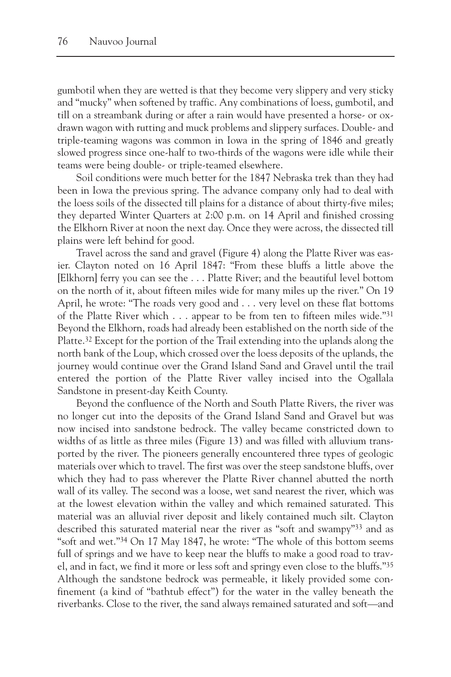gumbotil when they are wetted is that they become very slippery and very sticky and "mucky" when softened by traffic. Any combinations of loess, gumbotil, and till on a streambank during or after a rain would have presented a horse- or oxdrawn wagon with rutting and muck problems and slippery surfaces. Double- and triple-teaming wagons was common in Iowa in the spring of 1846 and greatly slowed progress since one-half to two-thirds of the wagons were idle while their teams were being double- or triple-teamed elsewhere.

Soil conditions were much better for the 1847 Nebraska trek than they had been in Iowa the previous spring. The advance company only had to deal with the loess soils of the dissected till plains for a distance of about thirty-five miles; they departed Winter Quarters at 2:00 p.m. on 14 April and finished crossing the Elkhorn River at noon the next day. Once they were across, the dissected till plains were left behind for good.

Travel across the sand and gravel (Figure 4) along the Platte River was easier. Clayton noted on 16 April 1847: "From these bluffs a little above the [Elkhorn] ferry you can see the . . . Platte River; and the beautiful level bottom on the north of it, about fifteen miles wide for many miles up the river." On 19 April, he wrote: "The roads very good and . . . very level on these flat bottoms of the Platte River which . . . appear to be from ten to fifteen miles wide."31 Beyond the Elkhorn, roads had already been established on the north side of the Platte.32 Except for the portion of the Trail extending into the uplands along the north bank of the Loup, which crossed over the loess deposits of the uplands, the journey would continue over the Grand Island Sand and Gravel until the trail entered the portion of the Platte River valley incised into the Ogallala Sandstone in present-day Keith County.

Beyond the confluence of the North and South Platte Rivers, the river was no longer cut into the deposits of the Grand Island Sand and Gravel but was now incised into sandstone bedrock. The valley became constricted down to widths of as little as three miles (Figure 13) and was filled with alluvium transported by the river. The pioneers generally encountered three types of geologic materials over which to travel. The first was over the steep sandstone bluffs, over which they had to pass wherever the Platte River channel abutted the north wall of its valley. The second was a loose, wet sand nearest the river, which was at the lowest elevation within the valley and which remained saturated. This material was an alluvial river deposit and likely contained much silt. Clayton described this saturated material near the river as "soft and swampy"33 and as "soft and wet."34 On 17 May 1847, he wrote: "The whole of this bottom seems full of springs and we have to keep near the bluffs to make a good road to travel, and in fact, we find it more or less soft and springy even close to the bluffs."35 Although the sandstone bedrock was permeable, it likely provided some confinement (a kind of "bathtub effect") for the water in the valley beneath the riverbanks. Close to the river, the sand always remained saturated and soft—and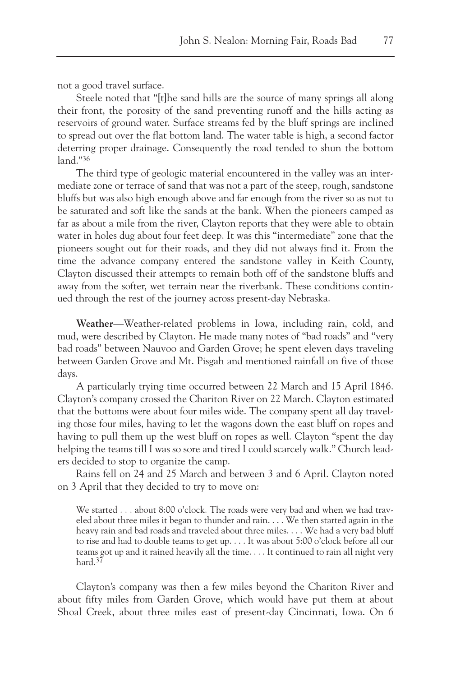not a good travel surface.

Steele noted that "[t]he sand hills are the source of many springs all along their front, the porosity of the sand preventing runoff and the hills acting as reservoirs of ground water. Surface streams fed by the bluff springs are inclined to spread out over the flat bottom land. The water table is high, a second factor deterring proper drainage. Consequently the road tended to shun the bottom land."36

The third type of geologic material encountered in the valley was an intermediate zone or terrace of sand that was not a part of the steep, rough, sandstone bluffs but was also high enough above and far enough from the river so as not to be saturated and soft like the sands at the bank. When the pioneers camped as far as about a mile from the river, Clayton reports that they were able to obtain water in holes dug about four feet deep. It was this "intermediate" zone that the pioneers sought out for their roads, and they did not always find it. From the time the advance company entered the sandstone valley in Keith County, Clayton discussed their attempts to remain both off of the sandstone bluffs and away from the softer, wet terrain near the riverbank. These conditions continued through the rest of the journey across present-day Nebraska.

**Weather**—Weather-related problems in Iowa, including rain, cold, and mud, were described by Clayton. He made many notes of "bad roads" and "very bad roads" between Nauvoo and Garden Grove; he spent eleven days traveling between Garden Grove and Mt. Pisgah and mentioned rainfall on five of those days.

A particularly trying time occurred between 22 March and 15 April 1846. Clayton's company crossed the Chariton River on 22 March. Clayton estimated that the bottoms were about four miles wide. The company spent all day traveling those four miles, having to let the wagons down the east bluff on ropes and having to pull them up the west bluff on ropes as well. Clayton "spent the day helping the teams till I was so sore and tired I could scarcely walk." Church leaders decided to stop to organize the camp.

Rains fell on 24 and 25 March and between 3 and 6 April. Clayton noted on 3 April that they decided to try to move on:

We started . . . about 8:00 o'clock. The roads were very bad and when we had traveled about three miles it began to thunder and rain. . . . We then started again in the heavy rain and bad roads and traveled about three miles. . . . We had a very bad bluff to rise and had to double teams to get up. . . . It was about 5:00 o'clock before all our teams got up and it rained heavily all the time. . . . It continued to rain all night very hard.37

Clayton's company was then a few miles beyond the Chariton River and about fifty miles from Garden Grove, which would have put them at about Shoal Creek, about three miles east of present-day Cincinnati, Iowa. On 6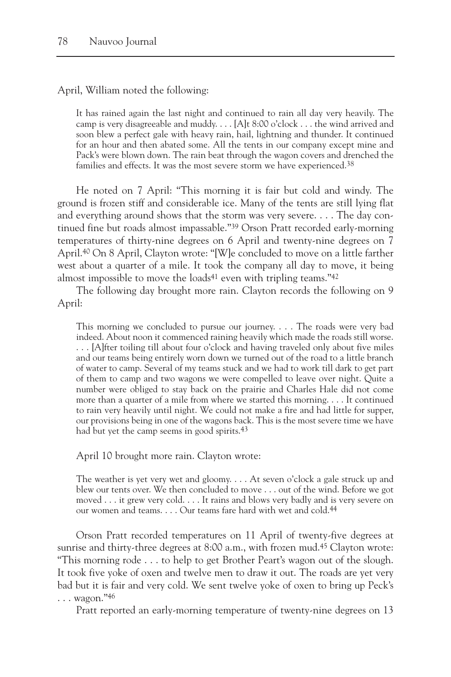April, William noted the following:

It has rained again the last night and continued to rain all day very heavily. The camp is very disagreeable and muddy. . . . [A]t 8:00 o'clock . . . the wind arrived and soon blew a perfect gale with heavy rain, hail, lightning and thunder. It continued for an hour and then abated some. All the tents in our company except mine and Pack's were blown down. The rain beat through the wagon covers and drenched the families and effects. It was the most severe storm we have experienced.<sup>38</sup>

He noted on 7 April: "This morning it is fair but cold and windy. The ground is frozen stiff and considerable ice. Many of the tents are still lying flat and everything around shows that the storm was very severe. . . . The day continued fine but roads almost impassable."39 Orson Pratt recorded early-morning temperatures of thirty-nine degrees on 6 April and twenty-nine degrees on 7 April.40 On 8 April, Clayton wrote: "[W]e concluded to move on a little farther west about a quarter of a mile. It took the company all day to move, it being almost impossible to move the loads<sup>41</sup> even with tripling teams."<sup>42</sup>

The following day brought more rain. Clayton records the following on 9 April:

This morning we concluded to pursue our journey. . . . The roads were very bad indeed. About noon it commenced raining heavily which made the roads still worse. . . . [A]fter toiling till about four o'clock and having traveled only about five miles and our teams being entirely worn down we turned out of the road to a little branch of water to camp. Several of my teams stuck and we had to work till dark to get part of them to camp and two wagons we were compelled to leave over night. Quite a number were obliged to stay back on the prairie and Charles Hale did not come more than a quarter of a mile from where we started this morning. . . . It continued to rain very heavily until night. We could not make a fire and had little for supper, our provisions being in one of the wagons back. This is the most severe time we have had but yet the camp seems in good spirits.<sup>43</sup>

April 10 brought more rain. Clayton wrote:

The weather is yet very wet and gloomy. . . . At seven o'clock a gale struck up and blew our tents over. We then concluded to move . . . out of the wind. Before we got moved . . . it grew very cold. . . . It rains and blows very badly and is very severe on our women and teams. . . . Our teams fare hard with wet and cold.44

Orson Pratt recorded temperatures on 11 April of twenty-five degrees at sunrise and thirty-three degrees at 8:00 a.m., with frozen mud.45 Clayton wrote: "This morning rode . . . to help to get Brother Peart's wagon out of the slough. It took five yoke of oxen and twelve men to draw it out. The roads are yet very bad but it is fair and very cold. We sent twelve yoke of oxen to bring up Peck's . . . wagon."46

Pratt reported an early-morning temperature of twenty-nine degrees on 13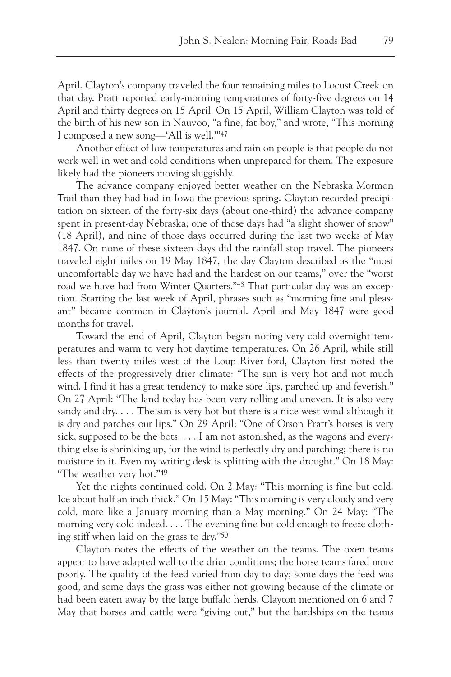April. Clayton's company traveled the four remaining miles to Locust Creek on that day. Pratt reported early-morning temperatures of forty-five degrees on 14 April and thirty degrees on 15 April. On 15 April, William Clayton was told of the birth of his new son in Nauvoo, "a fine, fat boy," and wrote, "This morning I composed a new song—'All is well.'"47

Another effect of low temperatures and rain on people is that people do not work well in wet and cold conditions when unprepared for them. The exposure likely had the pioneers moving sluggishly.

The advance company enjoyed better weather on the Nebraska Mormon Trail than they had had in Iowa the previous spring. Clayton recorded precipitation on sixteen of the forty-six days (about one-third) the advance company spent in present-day Nebraska; one of those days had "a slight shower of snow" (18 April), and nine of those days occurred during the last two weeks of May 1847. On none of these sixteen days did the rainfall stop travel. The pioneers traveled eight miles on 19 May 1847, the day Clayton described as the "most uncomfortable day we have had and the hardest on our teams," over the "worst road we have had from Winter Quarters."48 That particular day was an exception. Starting the last week of April, phrases such as "morning fine and pleasant" became common in Clayton's journal. April and May 1847 were good months for travel.

Toward the end of April, Clayton began noting very cold overnight temperatures and warm to very hot daytime temperatures. On 26 April, while still less than twenty miles west of the Loup River ford, Clayton first noted the effects of the progressively drier climate: "The sun is very hot and not much wind. I find it has a great tendency to make sore lips, parched up and feverish." On 27 April: "The land today has been very rolling and uneven. It is also very sandy and dry.  $\dots$  The sun is very hot but there is a nice west wind although it is dry and parches our lips." On 29 April: "One of Orson Pratt's horses is very sick, supposed to be the bots. . . . I am not astonished, as the wagons and everything else is shrinking up, for the wind is perfectly dry and parching; there is no moisture in it. Even my writing desk is splitting with the drought." On 18 May: "The weather very hot."49

Yet the nights continued cold. On 2 May: "This morning is fine but cold. Ice about half an inch thick." On 15 May: "This morning is very cloudy and very cold, more like a January morning than a May morning." On 24 May: "The morning very cold indeed. . . . The evening fine but cold enough to freeze clothing stiff when laid on the grass to dry."50

Clayton notes the effects of the weather on the teams. The oxen teams appear to have adapted well to the drier conditions; the horse teams fared more poorly. The quality of the feed varied from day to day; some days the feed was good, and some days the grass was either not growing because of the climate or had been eaten away by the large buffalo herds. Clayton mentioned on 6 and 7 May that horses and cattle were "giving out," but the hardships on the teams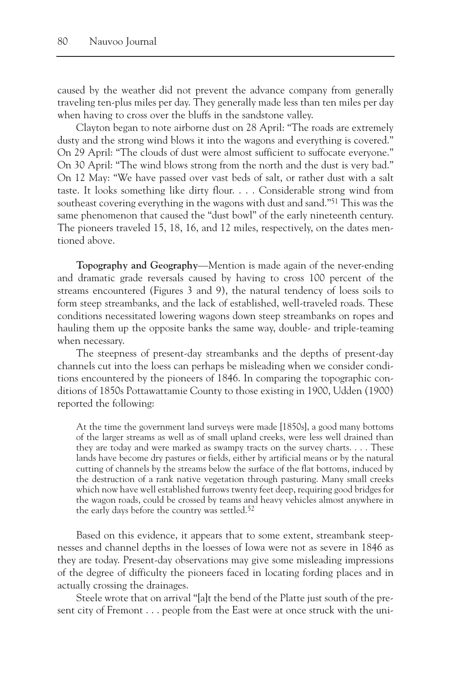caused by the weather did not prevent the advance company from generally traveling ten-plus miles per day. They generally made less than ten miles per day when having to cross over the bluffs in the sandstone valley.

Clayton began to note airborne dust on 28 April: "The roads are extremely dusty and the strong wind blows it into the wagons and everything is covered." On 29 April: "The clouds of dust were almost sufficient to suffocate everyone." On 30 April: "The wind blows strong from the north and the dust is very bad." On 12 May: "We have passed over vast beds of salt, or rather dust with a salt taste. It looks something like dirty flour. . . . Considerable strong wind from southeast covering everything in the wagons with dust and sand."51 This was the same phenomenon that caused the "dust bowl" of the early nineteenth century. The pioneers traveled 15, 18, 16, and 12 miles, respectively, on the dates mentioned above.

**Topography and Geography**—Mention is made again of the never-ending and dramatic grade reversals caused by having to cross 100 percent of the streams encountered (Figures 3 and 9), the natural tendency of loess soils to form steep streambanks, and the lack of established, well-traveled roads. These conditions necessitated lowering wagons down steep streambanks on ropes and hauling them up the opposite banks the same way, double- and triple-teaming when necessary.

The steepness of present-day streambanks and the depths of present-day channels cut into the loess can perhaps be misleading when we consider conditions encountered by the pioneers of 1846. In comparing the topographic conditions of 1850s Pottawattamie County to those existing in 1900, Udden (1900) reported the following:

At the time the government land surveys were made [1850s], a good many bottoms of the larger streams as well as of small upland creeks, were less well drained than they are today and were marked as swampy tracts on the survey charts. . . . These lands have become dry pastures or fields, either by artificial means or by the natural cutting of channels by the streams below the surface of the flat bottoms, induced by the destruction of a rank native vegetation through pasturing. Many small creeks which now have well established furrows twenty feet deep, requiring good bridges for the wagon roads, could be crossed by teams and heavy vehicles almost anywhere in the early days before the country was settled.<sup>52</sup>

Based on this evidence, it appears that to some extent, streambank steepnesses and channel depths in the loesses of Iowa were not as severe in 1846 as they are today. Present-day observations may give some misleading impressions of the degree of difficulty the pioneers faced in locating fording places and in actually crossing the drainages.

Steele wrote that on arrival "[a]t the bend of the Platte just south of the present city of Fremont . . . people from the East were at once struck with the uni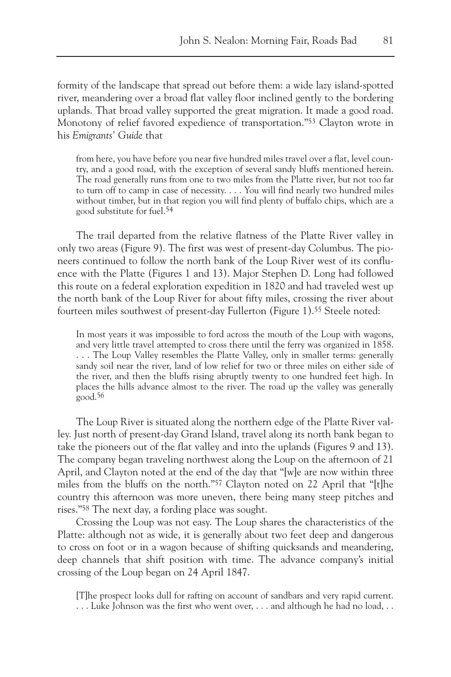formity of the landscape that spread out before them: a wide lazy island-spotted river, meandering over a broad flat valley floor inclined gently to the bordering uplands. That broad valley supported the great migration. It made a good road. Monotony of relief favored expedience of transportation."53 Clayton wrote in his *Emigrants' Guide* that

from here, you have before you near five hundred miles travel over a flat, level country, and a good road, with the exception of several sandy bluffs mentioned herein. The road generally runs from one to two miles from the Platte river, but not too far to turn off to camp in case of necessity. . . . You will find nearly two hundred miles without timber, but in that region you will find plenty of buffalo chips, which are a good substitute for fuel.54

The trail departed from the relative flatness of the Platte River valley in only two areas (Figure 9). The first was west of present-day Columbus. The pioneers continued to follow the north bank of the Loup River west of its confluence with the Platte (Figures 1 and 13). Major Stephen D. Long had followed this route on a federal exploration expedition in 1820 and had traveled west up the north bank of the Loup River for about fifty miles, crossing the river about fourteen miles southwest of present-day Fullerton (Figure 1).55 Steele noted:

In most years it was impossible to ford across the mouth of the Loup with wagons, and very little travel attempted to cross there until the ferry was organized in 1858. . . . The Loup Valley resembles the Platte Valley, only in smaller terms: generally sandy soil near the river, land of low relief for two or three miles on either side of the river, and then the bluffs rising abruptly twenty to one hundred feet high. In places the hills advance almost to the river. The road up the valley was generally good.56

The Loup River is situated along the northern edge of the Platte River valley. Just north of present-day Grand Island, travel along its north bank began to take the pioneers out of the flat valley and into the uplands (Figures 9 and 13). The company began traveling northwest along the Loup on the afternoon of 21 April, and Clayton noted at the end of the day that "[w]e are now within three miles from the bluffs on the north."57 Clayton noted on 22 April that "[t]he country this afternoon was more uneven, there being many steep pitches and rises."58 The next day, a fording place was sought.

Crossing the Loup was not easy. The Loup shares the characteristics of the Platte: although not as wide, it is generally about two feet deep and dangerous to cross on foot or in a wagon because of shifting quicksands and meandering, deep channels that shift position with time. The advance company's initial crossing of the Loup began on 24 April 1847.

[T]he prospect looks dull for rafting on account of sandbars and very rapid current. . . . Luke Johnson was the first who went over, . . . and although he had no load, . .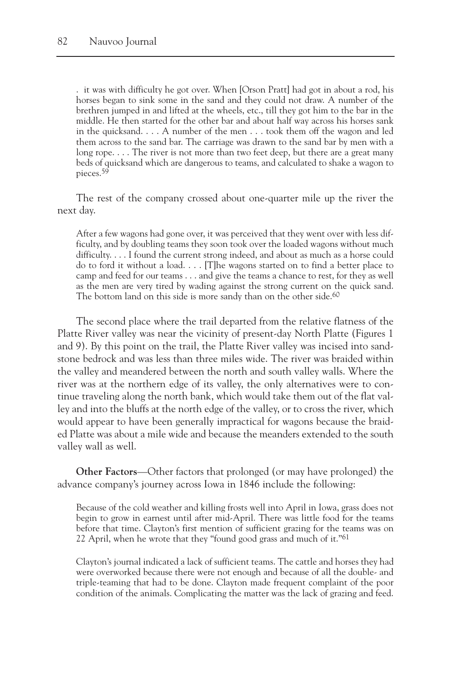. it was with difficulty he got over. When [Orson Pratt] had got in about a rod, his horses began to sink some in the sand and they could not draw. A number of the brethren jumped in and lifted at the wheels, etc., till they got him to the bar in the middle. He then started for the other bar and about half way across his horses sank in the quicksand. . . . A number of the men . . . took them off the wagon and led them across to the sand bar. The carriage was drawn to the sand bar by men with a long rope. . . . The river is not more than two feet deep, but there are a great many beds of quicksand which are dangerous to teams, and calculated to shake a wagon to pieces.59

The rest of the company crossed about one-quarter mile up the river the next day.

After a few wagons had gone over, it was perceived that they went over with less difficulty, and by doubling teams they soon took over the loaded wagons without much difficulty. . . . I found the current strong indeed, and about as much as a horse could do to ford it without a load. . . . [T]he wagons started on to find a better place to camp and feed for our teams . . . and give the teams a chance to rest, for they as well as the men are very tired by wading against the strong current on the quick sand. The bottom land on this side is more sandy than on the other side.<sup>60</sup>

The second place where the trail departed from the relative flatness of the Platte River valley was near the vicinity of present-day North Platte (Figures 1 and 9). By this point on the trail, the Platte River valley was incised into sandstone bedrock and was less than three miles wide. The river was braided within the valley and meandered between the north and south valley walls. Where the river was at the northern edge of its valley, the only alternatives were to continue traveling along the north bank, which would take them out of the flat valley and into the bluffs at the north edge of the valley, or to cross the river, which would appear to have been generally impractical for wagons because the braided Platte was about a mile wide and because the meanders extended to the south valley wall as well.

**Other Factors**—Other factors that prolonged (or may have prolonged) the advance company's journey across Iowa in 1846 include the following:

Because of the cold weather and killing frosts well into April in Iowa, grass does not begin to grow in earnest until after mid-April. There was little food for the teams before that time. Clayton's first mention of sufficient grazing for the teams was on 22 April, when he wrote that they "found good grass and much of it."<sup>61</sup>

Clayton's journal indicated a lack of sufficient teams. The cattle and horses they had were overworked because there were not enough and because of all the double- and triple-teaming that had to be done. Clayton made frequent complaint of the poor condition of the animals. Complicating the matter was the lack of grazing and feed.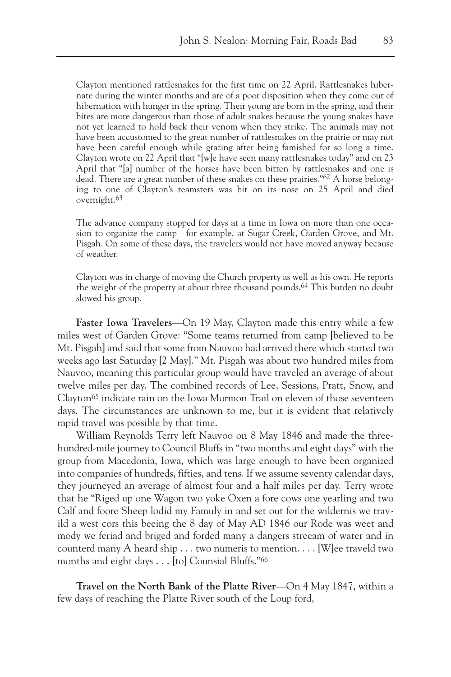Clayton mentioned rattlesnakes for the first time on 22 April. Rattlesnakes hibernate during the winter months and are of a poor disposition when they come out of hibernation with hunger in the spring. Their young are born in the spring, and their bites are more dangerous than those of adult snakes because the young snakes have not yet learned to hold back their venom when they strike. The animals may not have been accustomed to the great number of rattlesnakes on the prairie or may not have been careful enough while grazing after being famished for so long a time. Clayton wrote on 22 April that "[w]e have seen many rattlesnakes today" and on 23 April that "[a] number of the horses have been bitten by rattlesnakes and one is dead. There are a great number of these snakes on these prairies."62 A horse belonging to one of Clayton's teamsters was bit on its nose on 25 April and died overnight.63

The advance company stopped for days at a time in Iowa on more than one occasion to organize the camp—for example, at Sugar Creek, Garden Grove, and Mt. Pisgah. On some of these days, the travelers would not have moved anyway because of weather.

Clayton was in charge of moving the Church property as well as his own. He reports the weight of the property at about three thousand pounds.64 This burden no doubt slowed his group.

**Faster Iowa Travelers**—On 19 May, Clayton made this entry while a few miles west of Garden Grove: "Some teams returned from camp [believed to be Mt. Pisgah] and said that some from Nauvoo had arrived there which started two weeks ago last Saturday [2 May]." Mt. Pisgah was about two hundred miles from Nauvoo, meaning this particular group would have traveled an average of about twelve miles per day. The combined records of Lee, Sessions, Pratt, Snow, and Clayton65 indicate rain on the Iowa Mormon Trail on eleven of those seventeen days. The circumstances are unknown to me, but it is evident that relatively rapid travel was possible by that time.

William Reynolds Terry left Nauvoo on 8 May 1846 and made the threehundred-mile journey to Council Bluffs in "two months and eight days" with the group from Macedonia, Iowa, which was large enough to have been organized into companies of hundreds, fifties, and tens. If we assume seventy calendar days, they journeyed an average of almost four and a half miles per day. Terry wrote that he "Riged up one Wagon two yoke Oxen a fore cows one yearling and two Calf and foore Sheep lodid my Famuly in and set out for the wildernis we travild a west cors this beeing the 8 day of May AD 1846 our Rode was weet and mody we feriad and briged and forded many a dangers streeam of water and in counterd many A heard ship . . . two numeris to mention. . . . [W]ee traveld two months and eight days . . . [to] Counsial Bluffs."66

**Travel on the North Bank of the Platte River**—On 4 May 1847, within a few days of reaching the Platte River south of the Loup ford,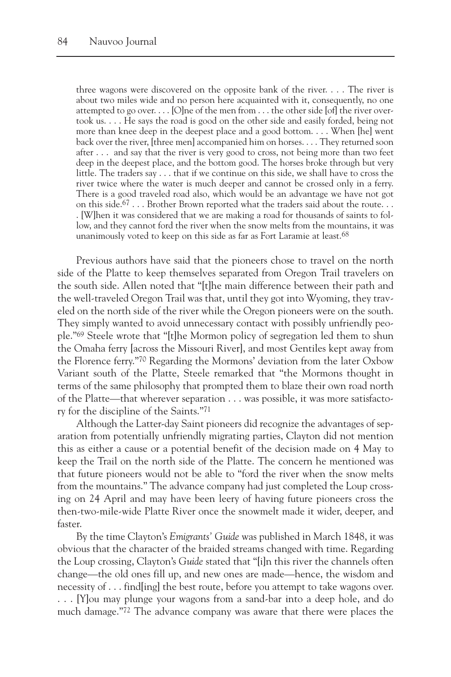three wagons were discovered on the opposite bank of the river. . . . The river is about two miles wide and no person here acquainted with it, consequently, no one attempted to go over. . . . [O]ne of the men from . . . the other side [of] the river overtook us. . . . He says the road is good on the other side and easily forded, being not more than knee deep in the deepest place and a good bottom. . . . When [he] went back over the river, [three men] accompanied him on horses. . . . They returned soon after . . . and say that the river is very good to cross, not being more than two feet deep in the deepest place, and the bottom good. The horses broke through but very little. The traders say . . . that if we continue on this side, we shall have to cross the river twice where the water is much deeper and cannot be crossed only in a ferry. There is a good traveled road also, which would be an advantage we have not got on this side.<sup>67</sup> . . . Brother Brown reported what the traders said about the route. . . . [W]hen it was considered that we are making a road for thousands of saints to follow, and they cannot ford the river when the snow melts from the mountains, it was unanimously voted to keep on this side as far as Fort Laramie at least.68

Previous authors have said that the pioneers chose to travel on the north side of the Platte to keep themselves separated from Oregon Trail travelers on the south side. Allen noted that "[t]he main difference between their path and the well-traveled Oregon Trail was that, until they got into Wyoming, they traveled on the north side of the river while the Oregon pioneers were on the south. They simply wanted to avoid unnecessary contact with possibly unfriendly people."69 Steele wrote that "[t]he Mormon policy of segregation led them to shun the Omaha ferry [across the Missouri River], and most Gentiles kept away from the Florence ferry."70 Regarding the Mormons' deviation from the later Oxbow Variant south of the Platte, Steele remarked that "the Mormons thought in terms of the same philosophy that prompted them to blaze their own road north of the Platte—that wherever separation . . . was possible, it was more satisfactory for the discipline of the Saints."71

Although the Latter-day Saint pioneers did recognize the advantages of separation from potentially unfriendly migrating parties, Clayton did not mention this as either a cause or a potential benefit of the decision made on 4 May to keep the Trail on the north side of the Platte. The concern he mentioned was that future pioneers would not be able to "ford the river when the snow melts from the mountains." The advance company had just completed the Loup crossing on 24 April and may have been leery of having future pioneers cross the then-two-mile-wide Platte River once the snowmelt made it wider, deeper, and faster.

By the time Clayton's *Emigrants' Guide* was published in March 1848, it was obvious that the character of the braided streams changed with time. Regarding the Loup crossing, Clayton's *Guide* stated that "[i]n this river the channels often change—the old ones fill up, and new ones are made—hence, the wisdom and necessity of . . . find[ing] the best route, before you attempt to take wagons over. . . . [Y]ou may plunge your wagons from a sand-bar into a deep hole, and do much damage."72 The advance company was aware that there were places the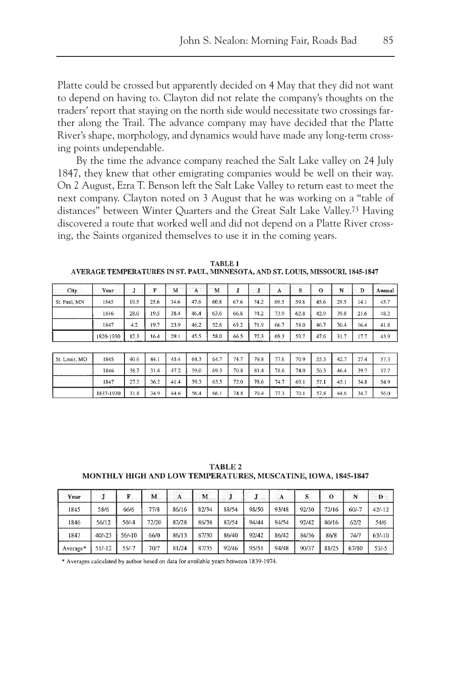Platte could be crossed but apparently decided on 4 May that they did not want to depend on having to. Clayton did not relate the company's thoughts on the traders' report that staying on the north side would necessitate two crossings farther along the Trail. The advance company may have decided that the Platte River's shape, morphology, and dynamics would have made any long-term crossing points undependable.

By the time the advance company reached the Salt Lake valley on 24 July 1847, they knew that other emigrating companies would be well on their way. On 2 August, Ezra T. Benson left the Salt Lake Valley to return east to meet the next company. Clayton noted on 3 August that he was working on a "table of distances" between Winter Quarters and the Great Salt Lake Valley.73 Having discovered a route that worked well and did not depend on a Platte River crossing, the Saints organized themselves to use it in the coming years.

**TABLE 1** AVERAGE TEMPERATURES IN ST. PAUL, MINNESOTA, AND ST. LOUIS, MISSOURI, 1845-1847

| <b>Contract</b><br><b>Under City</b> and | and and<br>$f:$ Year $\circ$ | オーバンボルント | $\cdot$ F |      | $M^{\circ}$ $X^{\circ}$ $M^{\circ}$ |      |      | the company of the services of<br>第三 医骨关节医第三体骨软骨 医血清中枢 医骨状的 医心中性 |      | the parties of the property of |      | 0:1:N | .D∷ l | the control and their<br>Annual |
|------------------------------------------|------------------------------|----------|-----------|------|-------------------------------------|------|------|------------------------------------------------------------------|------|--------------------------------|------|-------|-------|---------------------------------|
| St. Paul, MN                             | 1845                         | 19.5     | 25.6      | 34.6 | 47.6                                | 60.8 | 67.6 | 74.2                                                             | 69.5 | 59.8                           | 45.6 | 29.5  | 14.1  | 45.7                            |
|                                          | 1846                         | 28.0     | 19.5      | 38.4 | 46.4                                | 63.6 | 66.8 | 74.2                                                             | 73.9 | 62.8                           | 42.9 | 39.8  | 21.6  | 48.2                            |
|                                          | 1847                         | 4.2      | 19.7      | 23.9 | 46.2                                | 52.6 | 65.2 | 71.9                                                             | 66.7 | 58.0                           | 46.7 | 30.4  | 16.4  | 41.8                            |
|                                          | 1820-1930                    | 12.3     | 16.4      | 29.1 | 45.5                                | 58.0 | 66.5 | 72.3                                                             | 69.3 | 59.7                           | 47.6 | 31.7  | 17.7  | 43.9                            |

| St. Louis, MO | 1845      | 40.6 | 44.1 | 45.4 | 64.3 | 64.7 | 74.7 | 79.8 | 77.6 | 70.9 | 55.3 | 42.7 | 27.4 | 57.3 |
|---------------|-----------|------|------|------|------|------|------|------|------|------|------|------|------|------|
|               | 1846      | 38.7 | 31.4 | 47.2 | 59.0 | 69.3 | 70.8 | 81.4 | 78.6 | 74.0 | 56.3 | 46.4 | 39.7 | 57.7 |
|               | 1847      | 27.2 | 36.2 | 41.4 | 59.3 | 63.5 | 72.0 | 78.6 | 74.7 | 69.1 | 57.1 | 45.1 | 34.8 | 54.9 |
|               | 1837-1930 | 31.8 | 34.9 | 44.6 | 56.4 | 66.1 | 74.8 | 79.4 | 77.3 | 70.1 | 57.8 | 44.6 | 34.7 | 56.0 |

**TABLE 2** MONTHLY HIGH AND LOW TEMPERATURES, MUSCATINE, IOWA, 1845-1847

| Year<br><b></b> | .        |          | .<br>.<br>M | .<br><b>A R R R R R R</b><br><b>ALCOHOL: 1989</b> | M<br>. | .<br>.<br><br><b><i><u>ALCOHOL: 1999</u></i></b><br>----<br> |       | <br>1.111<br><br><b>A 10 W</b><br>.<br>THE ROOM CONTROL<br>. | S.    |       | .<br>$\mathbf N$ | <b>TRAINING FORE</b><br>. |
|-----------------|----------|----------|-------------|---------------------------------------------------|--------|--------------------------------------------------------------|-------|--------------------------------------------------------------|-------|-------|------------------|---------------------------|
| 1845            | 58/6     | 66/6     | 77/8        | 86/16                                             | 82/34  | 88/54                                                        | 98/50 | 93/48                                                        | 92/30 | 72/16 | $60/-7$          | $42/-12$                  |
| 1846            | 56/12    | 50/-8    | 72/20       | 82/28                                             | 86/38  | 82/54                                                        | 94/44 | 94/54                                                        | 92/42 | 80/16 | 62/2             | 54/6                      |
| 1847            | $40/-23$ | $56/-10$ | 66/0        | 86/13                                             | 87/30  | 86/40                                                        | 92/42 | 86/42                                                        | 84/36 | 86/8  | 74/7             | $63/-10$                  |
| Average*        | $51/-12$ | 55/-7    | 70/7        | 81/24                                             | 87/35  | 92/46                                                        | 95/51 | 94/48                                                        | 90/37 | 81/25 | 67/10            | $53/-5$                   |

\* Averages calculated by author based on data for available years between 1839-1974.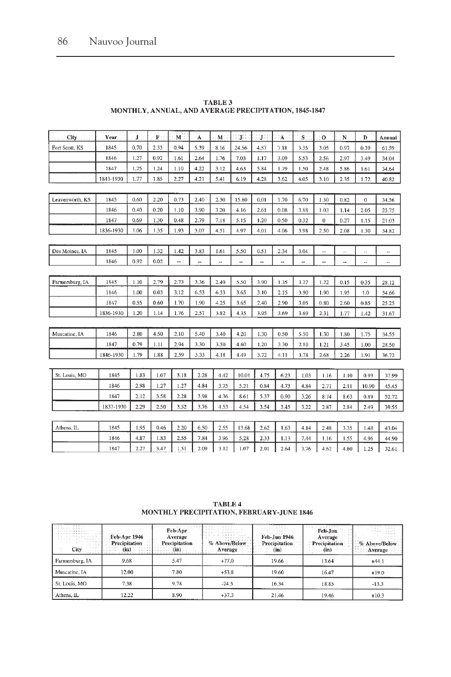| <b>City</b>     | Year.     | J.   | $\mathbf{F}$ : | M.   | Á    | $\mathbf M$ | ្សា   | ្យ   | ٠Ä.  | 'S.  | $\Omega$ | N    | D            | Annual |
|-----------------|-----------|------|----------------|------|------|-------------|-------|------|------|------|----------|------|--------------|--------|
| Fort Scott, KS  | 1845      | 0.70 | 2.33           | 0.94 | 5.39 | 8.16        | 24.56 | 4.57 | 7.18 | 3.35 | 3.05     | 0.97 | 0.39         | 61.59  |
|                 | 1846      | 1.27 | 0.92           | 1.61 | 2.64 | 1.76        | 7.03  | 1.17 | 3.09 | 5.53 | 2.56     | 2.97 | 3.49         | 34.04  |
|                 | 1847      | 1.25 | 1.24           | 1.10 | 4.22 | 3.12        | 4.63  | 5.84 | 1.79 | 1.50 | 2.48     | 5.86 | 1.61         | 34.64  |
|                 | 1843-1930 | 1.77 | 1.85           | 2.27 | 4.21 | 5.41        | 6.19  | 4.28 | 3.62 | 4.05 | 3.10     | 2.35 | 1.72         | 40.82  |
|                 |           |      |                |      |      |             |       |      |      |      |          |      |              |        |
| Leavenworth, KS | 1845      | 0.60 | 2.20           | 0.73 | 2.40 | 2.30        | 15.80 | 0.01 | 1.70 | 6.70 | 1.30     | 0.82 | $\mathbf{0}$ | 34.56  |
|                 | 1846      | 0.40 | 0.20           | 1.10 | 3.90 | 3.20        | 4.16  | 2.61 | 0.08 | 3.88 | 1.03     | 1.14 | 2.05         | 23.75  |
|                 | 1847      | 0.69 | 1.30           | 0.48 | 2.79 | 7.18        | 5.15  | 1.20 | 0.50 | 0.32 | $\bf{0}$ | 0.27 | 1.15         | 21.03  |
|                 | 1836-1930 | 1.06 | 1.35           | 1.93 | 3.07 | 4.51        | 4.97  | 4.01 | 4.06 | 3.98 | 2.50     | 2.08 | 1.30         | 34.82  |
|                 |           |      |                |      |      |             |       |      |      |      |          |      |              |        |
| Des Moines, IA  | 1845      | 1.00 | 1.32           | 1.42 | 3.83 | 1.61        | 5.50  | 0.51 | 2.34 | 3.04 | μ.       | L.   |              |        |
|                 | 1846      | 0.92 | 0.02           |      | ۰.   | ٠.          | --    | --   | --   | --   | --       | ۰.   | Ξ.           | $\sim$ |
|                 |           |      |                |      |      |             |       |      |      |      |          |      |              |        |
| Farmersburg, IA | 1845      | 1.10 | 2.79           | 2.73 | 3.36 | 2.40        | 5.50  | 3.90 | 1.35 | 3.27 | 1.22     | 0.15 | 0.35         | 28.12  |
|                 | 1846      | 1.00 | 0.03           | 3.12 | 6.53 | 6.33        | 3.65  | 3.10 | 2.15 | 3.90 | 1.90     | 1.95 | 1.0          | 34.66  |
|                 | 1847      | 0.55 | 0.60           | 1.70 | 1.90 | 4.25        | 3.65  | 2.40 | 2.90 | 3.05 | 0.80     | 2.60 | 0.85         | 25.25  |
|                 | 1836-1930 | 1.20 | 1.14           | 1.76 | 2.57 | 3.82        | 4.35  | 3.95 | 3.69 | 3.69 | 2.31     | 1.77 | 1.42         | 31.67  |
|                 |           |      |                |      |      |             |       |      |      |      |          |      |              |        |
| Muscatine, IA   | 1846      | 2.80 | 4.50           | 2.10 | 5.40 | 3.40        | 4.20  | 1.30 | 0.50 | 5.50 | 1.30     | 1.80 | 1.75         | 34.55  |
|                 | 1847      | 0.79 | 1.11           | 2.94 | 3.30 | 3.50        | 4.60  | 1.20 | 3.30 | 2.10 | 1.21     | 3.45 | 1.00         | 28.50  |
|                 | 1846-1930 | 1.79 | 1.88           | 2.59 | 3.33 | 4.18        | 4.49  | 3.72 | 4.11 | 3.78 | 2.68     | 2.26 | 1.91         | 36.72  |
|                 |           |      |                |      |      |             |       |      |      |      |          |      |              |        |
| St. Louis, MO   | 1845      | 1.83 | 1.07           | 3.18 | 2.28 | 4.42        | 10.01 | 4.75 | 6.23 | 1.03 | 1.16     | 1.10 | 0.93         | 37.99  |
|                 | 1846      | 2.98 | 1.27           | 1.27 | 4.84 | 3.75        | 5.21  | 0.84 | 4.73 | 4.84 | 2.71     | 2.11 | 10.90        | 45.45  |
|                 | 1847      | 2.12 | 3.58           | 2.28 | 3.98 | 4.36        | 8.61  | 5.37 | 0.90 | 3.26 | 8.74     | 8.63 | 0.89         | 52.72  |
|                 | 1837-1930 | 2.29 | 2.50           | 3.52 | 3.76 | 4.53        | 4.54  | 3.54 | 3.45 | 3.22 | 2.87     | 2.84 | 2.49         | 39.55  |
|                 |           |      |                |      |      |             |       |      |      |      |          |      |              |        |
| Athens, IL      | 1845      | 1.95 | 0.46           | 2.20 | 6.50 | 2.55        | 13.68 | 2.62 | 1.63 | 4.14 | 2.48     | 3.35 | 1.48         | 43.04  |
|                 | 1846      | 4.87 | 1.83           | 2.55 | 7.84 | 3.96        | 5.28  | 2.33 | 1.13 | 7.44 | 1.16     | 1.55 | 4.96         | 44.90  |
|                 | 1847      | 2.27 | 3.47           | 1.51 | 2.09 | 3.12        | 1.07  | 2.01 | 2.64 | 3.76 | 4.62     | 4.80 | 1.25         | 32.61  |

| TABLE 3                                               |  |  |  |  |  |  |  |
|-------------------------------------------------------|--|--|--|--|--|--|--|
| MONTHLY, ANNUAL, AND AVERAGE PRECIPITATION, 1845-1847 |  |  |  |  |  |  |  |

 $\begin{array}{c} \textbf{TABLE 4} \\ \textbf{MONTHLY PRECIPITATION, FEBRUARY-JUNE 1846} \end{array}$ 

| a a como este como este como<br>CONDUCTIONS AT<br>codocido de Homes (*<br>to chico was even.<br>10 000 000 000 0000<br>インシンスクスイン<br>124831<br>22,23,23<br>5.321<br><b>City</b> | and all only<br>Feb-Apr 1946<br><b>Precipitation</b> | Feb-Apr<br>Average<br>Precipitation<br>မဆမင္းအမ်ားအန္တာမ | in a creambacker in a creat<br>.<br>.<br>C. M. Norvegi, 1980, M. & M. & M. S. L. &<br>100000000000000<br>% Above/Below<br>Average | .<br>contract to the contract of the con-<br>----------<br>Feb-Jun 1946<br>Precipitation<br>(m) | コインセグ しかせかけり<br>Feb-Jun<br>Average<br>Precipitation<br>(in) | 10000<br>102077<br>$-0.55 - 8$<br>% Above/Below<br>Average and<br>---- |
|--------------------------------------------------------------------------------------------------------------------------------------------------------------------------------|------------------------------------------------------|----------------------------------------------------------|-----------------------------------------------------------------------------------------------------------------------------------|-------------------------------------------------------------------------------------------------|-------------------------------------------------------------|------------------------------------------------------------------------|
| Farmersburg, IA                                                                                                                                                                | 9.68                                                 | 5.47                                                     | $+77.0$                                                                                                                           | 19.66                                                                                           | 13.64                                                       | $+44.1$                                                                |
| Muscatine, IA                                                                                                                                                                  | 12.00                                                | 7.80                                                     | $+53.8$                                                                                                                           | 19.60                                                                                           | 16.47                                                       | $+19.0$                                                                |
| St. Louis, MO                                                                                                                                                                  | 7.38                                                 | 9.78                                                     | $-24.5$                                                                                                                           | 16.34                                                                                           | 18.85                                                       | $-13.3$                                                                |
| Athens, IL                                                                                                                                                                     | 12.22                                                | 8.90                                                     | $+37.3$                                                                                                                           | 21.46                                                                                           | 19.46                                                       | $+10.3$                                                                |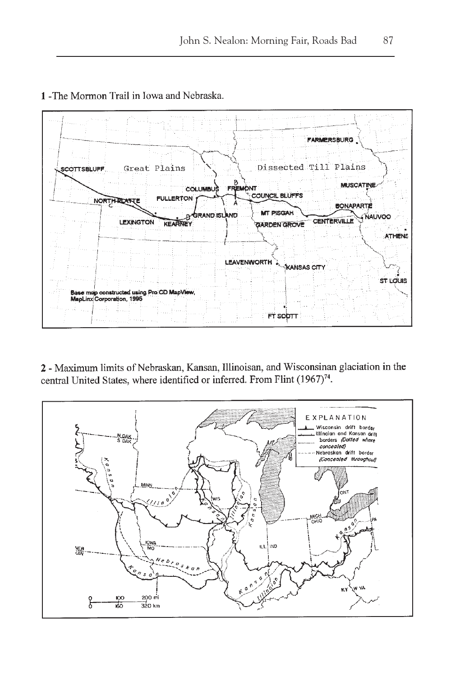

1 - The Mormon Trail in Iowa and Nebraska.

2 - Maximum limits of Nebraskan, Kansan, Illinoisan, and Wisconsinan glaciation in the central United States, where identified or inferred. From Flint (1967)<sup>74</sup>.

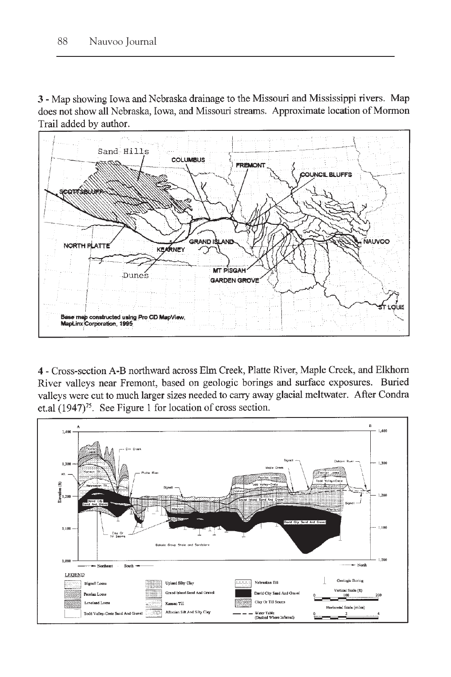3 - Map showing Iowa and Nebraska drainage to the Missouri and Mississippi rivers. Map does not show all Nebraska, Iowa, and Missouri streams. Approximate location of Mormon Trail added by author.



4 - Cross-section A-B northward across Elm Creek, Platte River, Maple Creek, and Elkhorn River valleys near Fremont, based on geologic borings and surface exposures. Buried valleys were cut to much larger sizes needed to carry away glacial meltwater. After Condra et.al  $(1947)^{75}$ . See Figure 1 for location of cross section.

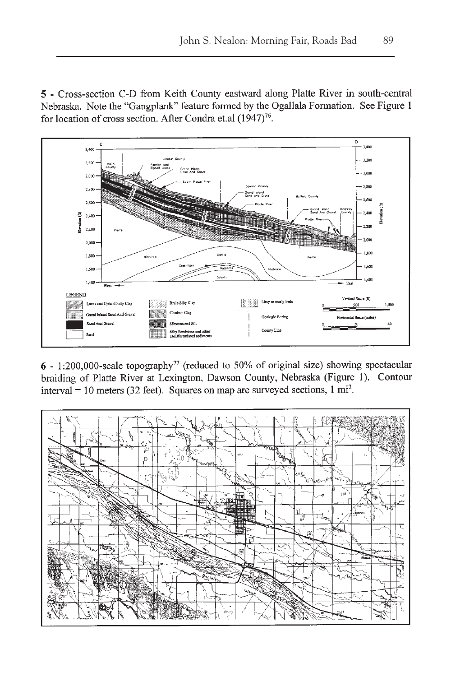5 - Cross-section C-D from Keith County eastward along Platte River in south-central Nebraska. Note the "Gangplank" feature formed by the Ogallala Formation. See Figure 1 for location of cross section. After Condra et.al (1947)<sup>76</sup>.



6 - 1:200,000-scale topography<sup>77</sup> (reduced to 50% of original size) showing spectacular braiding of Platte River at Lexington, Dawson County, Nebraska (Figure 1). Contour interval = 10 meters (32 feet). Squares on map are surveyed sections,  $1 \text{ mi}^2$ .

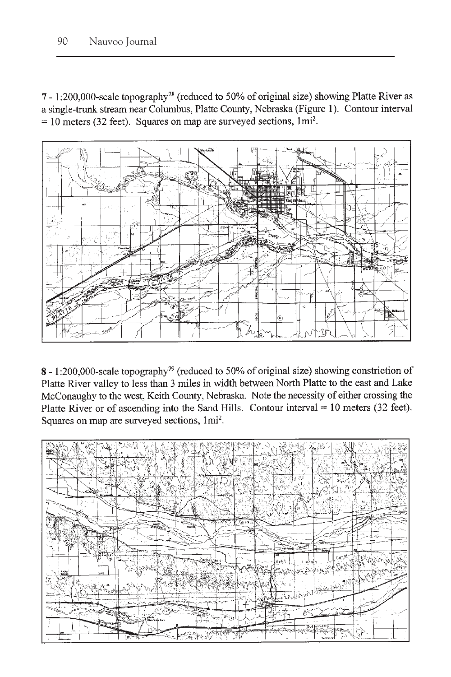7 - 1:200,000-scale topography<sup>78</sup> (reduced to 50% of original size) showing Platte River as a single-trunk stream near Columbus, Platte County, Nebraska (Figure 1). Contour interval  $= 10$  meters (32 feet). Squares on map are surveyed sections, 1mi<sup>2</sup>.



8 - 1:200,000-scale topography<sup>79</sup> (reduced to 50% of original size) showing constriction of Platte River valley to less than 3 miles in width between North Platte to the east and Lake McConaughy to the west, Keith County, Nebraska. Note the necessity of either crossing the Platte River or of ascending into the Sand Hills. Contour interval  $= 10$  meters (32 feet). Squares on map are surveyed sections, 1mi<sup>2</sup>.

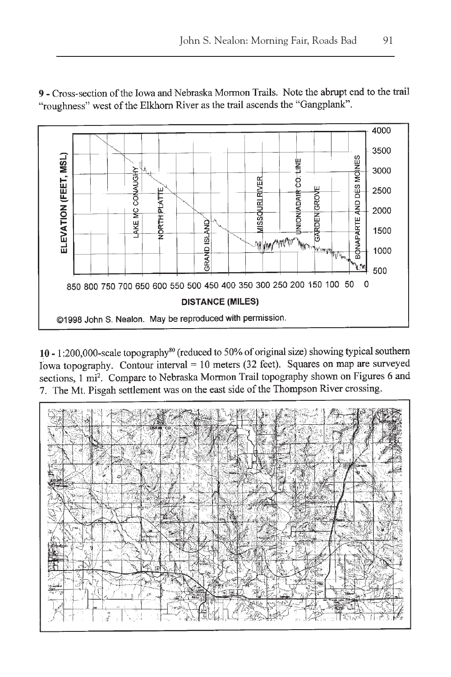9 - Cross-section of the Iowa and Nebraska Mormon Trails. Note the abrupt end to the trail "roughness" west of the Elkhorn River as the trail ascends the "Gangplank".



10 - 1:200,000-scale topography<sup>80</sup> (reduced to 50% of original size) showing typical southern Iowa topography. Contour interval = 10 meters (32 feet). Squares on map are surveyed sections, 1 mi<sup>2</sup>. Compare to Nebraska Mormon Trail topography shown on Figures 6 and 7. The Mt. Pisgah settlement was on the east side of the Thompson River crossing.

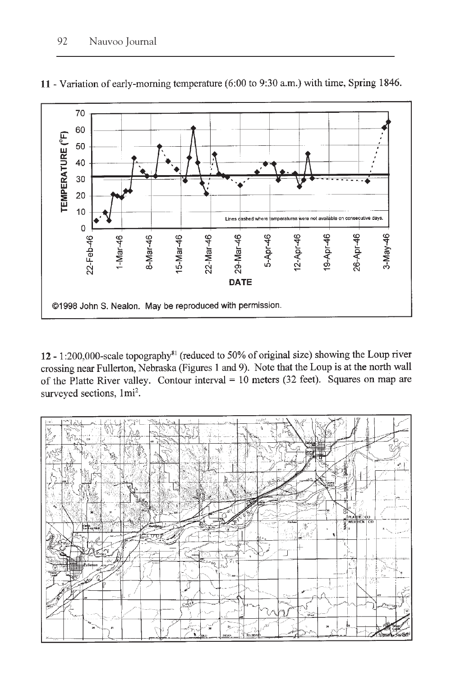

11 - Variation of early-morning temperature (6:00 to 9:30 a.m.) with time, Spring 1846.

12 - 1:200,000-scale topography<sup>81</sup> (reduced to 50% of original size) showing the Loup river crossing near Fullerton, Nebraska (Figures 1 and 9). Note that the Loup is at the north wall of the Platte River valley. Contour interval =  $10$  meters (32 feet). Squares on map are surveyed sections, 1mi<sup>2</sup>.

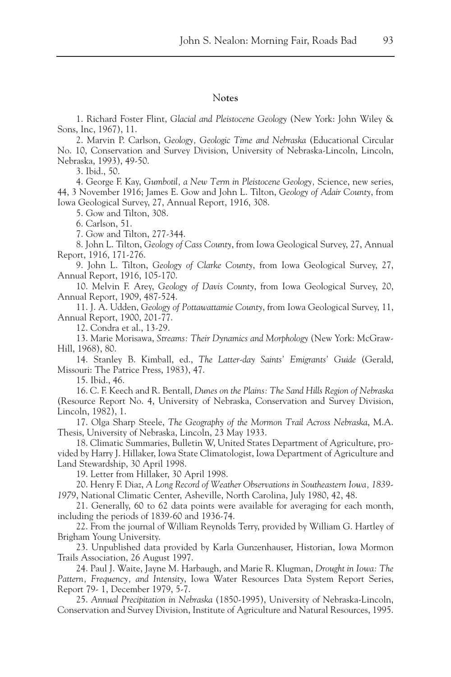#### N**otes**

1. Richard Foster Flint, *Glacial and Pleistocene Geology* (New York: John Wiley & Sons, Inc, 1967), 11.

2. Marvin P. Carlson, *Geology, Geologic Time and Nebraska* (Educational Circular No. 10, Conservation and Survey Division, University of Nebraska-Lincoln, Lincoln, Nebraska, 1993), 49-50.

3. Ibid., 50.

4. George F. Kay, *Gumbotil, a New Term in Pleistocene Geology,* Science, new series, 44, 3 November 1916; James E. Gow and John L. Tilton, *Geology of Adair County*, from Iowa Geological Survey, 27, Annual Report, 1916, 308.

5. Gow and Tilton, 308.

6. Carlson, 51.

7. Gow and Tilton, 277-344.

8. John L. Tilton, *Geology of Cass County*, from Iowa Geological Survey, 27, Annual Report, 1916, 171-276.

9. John L. Tilton, *Geology of Clarke County*, from Iowa Geological Survey, 27, Annual Report, 1916, 105-170.

10. Melvin F. Arey, *Geology of Davis County*, from Iowa Geological Survey, 20, Annual Report, 1909, 487-524.

11. J. A. Udden, *Geology of Pottawattamie County*, from Iowa Geological Survey, 11, Annual Report, 1900, 201-77.

12. Condra et al., 13-29.

13. Marie Morisawa, *Streams: Their Dynamics and Morphology* (New York: McGraw-Hill, 1968), 80.

14. Stanley B. Kimball, ed., *The Latter-day Saints' Emigrants' Guide* (Gerald, Missouri: The Patrice Press, 1983), 47.

15. Ibid., 46.

16. C. F. Keech and R. Bentall, *Dunes on the Plains: The Sand Hills Region of Nebraska* (Resource Report No. 4, University of Nebraska, Conservation and Survey Division, Lincoln, 1982), 1.

17. Olga Sharp Steele, *The Geography of the Mormon Trail Across Nebraska*, M.A. Thesis, University of Nebraska, Lincoln, 23 May 1933.

18. Climatic Summaries, Bulletin W, United States Department of Agriculture, provided by Harry J. Hillaker, Iowa State Climatologist, Iowa Department of Agriculture and Land Stewardship, 30 April 1998.

19. Letter from Hillaker, 30 April 1998.

20. Henry F. Diaz, *A Long Record of Weather Observations in Southeastern Iowa, 1839- 1979*, National Climatic Center, Asheville, North Carolina, July 1980, 42, 48.

21. Generally, 60 to 62 data points were available for averaging for each month, including the periods of 1839-60 and 1936-74.

22. From the journal of William Reynolds Terry, provided by William G. Hartley of Brigham Young University.

23. Unpublished data provided by Karla Gunzenhauser, Historian, Iowa Mormon Trails Association, 26 August 1997.

24. Paul J. Waite, Jayne M. Harbaugh, and Marie R. Klugman, *Drought in Iowa: The Pattern, Frequency, and Intensity*, Iowa Water Resources Data System Report Series, Report 79- 1, December 1979, 5-7.

25. *Annual Precipitation in Nebraska* (1850-1995), University of Nebraska-Lincoln, Conservation and Survey Division, Institute of Agriculture and Natural Resources, 1995.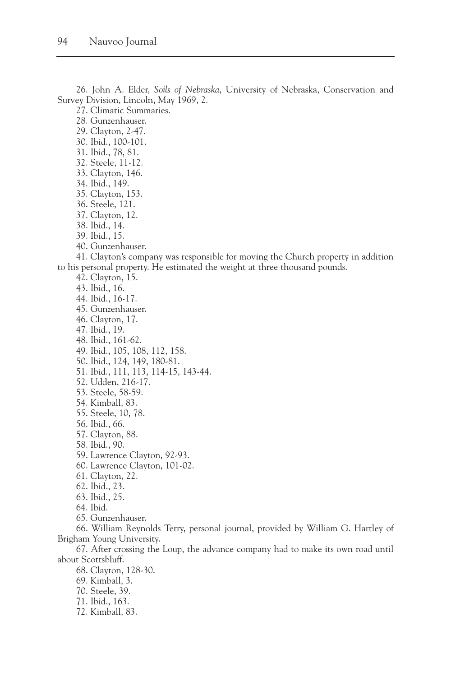26. John A. Elder, *Soils of Nebraska*, University of Nebraska, Conservation and Survey Division, Lincoln, May 1969, 2.

27. Climatic Summaries.

28. Gunzenhauser.

29. Clayton, 2-47.

- 30. Ibid., 100-101.
- 31. Ibid., 78, 81.
- 32. Steele, 11-12. 33. Clayton, 146.
- 34. Ibid., 149.
- 35. Clayton, 153.
- 36. Steele, 121.
- 37. Clayton, 12.
- 38. Ibid., 14.
- 39. Ibid., 15.
- 40. Gunzenhauser.

41. Clayton's company was responsible for moving the Church property in addition to his personal property. He estimated the weight at three thousand pounds.

- 42. Clayton, 15.
- 43. Ibid., 16.
- 44. Ibid., 16-17.
- 45. Gunzenhauser.
- 46. Clayton, 17.
- 47. Ibid., 19.
- 48. Ibid., 161-62.
- 49. Ibid., 105, 108, 112, 158.
- 50. Ibid., 124, 149, 180-81.
- 51. Ibid., 111, 113, 114-15, 143-44.
- 52. Udden, 216-17.
- 53. Steele, 58-59.
- 54. Kimball, 83.
- 55. Steele, 10, 78.
- 56. Ibid., 66.
- 57. Clayton, 88.
- 58. Ibid., 90.
- 59. Lawrence Clayton, 92-93.
- 60. Lawrence Clayton, 101-02.
- 61. Clayton, 22.
- 62. Ibid., 23.
- 63. Ibid., 25.
- 64. Ibid.
- 65. Gunzenhauser.

66. William Reynolds Terry, personal journal, provided by William G. Hartley of Brigham Young University.

67. After crossing the Loup, the advance company had to make its own road until about Scottsbluff.

- 68. Clayton, 128-30.
- 69. Kimball, 3.
- 70. Steele, 39.
- 71. Ibid., 163.
- 72. Kimball, 83.